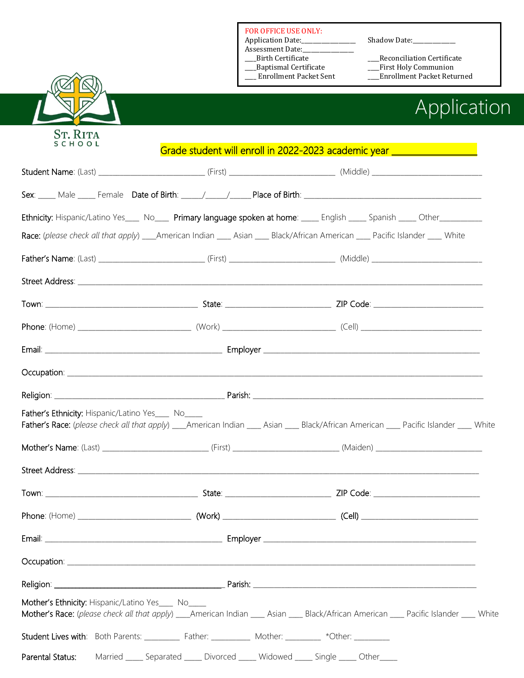FOR OFFICE USE ONLY:

- Application Date:\_\_\_\_\_\_\_\_\_\_\_\_\_\_\_\_\_\_\_ Shadow Date:\_\_\_\_\_\_\_\_\_\_\_\_\_\_\_
- Assessment Date:\_\_\_\_\_\_\_\_\_\_\_\_\_\_\_\_\_\_
- **Birth Certificate**
- \_\_\_\_Baptismal Certificate \_\_\_\_First Holy Communion
- 

- \_\_\_\_Birth Certificate \_\_\_\_Reconciliation Certificate
	-
	- \_\_\_Enrollment Packet Returned



## Application

| <b>SCHOOL</b>                                                                                      | Grade student will enroll in 2022-2023 academic year ___________________                                                                 |  |
|----------------------------------------------------------------------------------------------------|------------------------------------------------------------------------------------------------------------------------------------------|--|
|                                                                                                    |                                                                                                                                          |  |
|                                                                                                    |                                                                                                                                          |  |
|                                                                                                    | Ethnicity: Hispanic/Latino Yes___ No___ Primary language spoken at home: ____ English ____ Spanish ____ Other__________                  |  |
|                                                                                                    | Race: (please check all that apply) ____American Indian _____ Asian _____ Black/African American ____ Pacific Islander ____ White        |  |
|                                                                                                    |                                                                                                                                          |  |
|                                                                                                    |                                                                                                                                          |  |
|                                                                                                    |                                                                                                                                          |  |
|                                                                                                    |                                                                                                                                          |  |
|                                                                                                    |                                                                                                                                          |  |
|                                                                                                    |                                                                                                                                          |  |
|                                                                                                    |                                                                                                                                          |  |
| Father's Ethnicity: Hispanic/Latino Yes___ No____                                                  | Father's Race: (please check all that apply) ___American Indian ____ Asian ____ Black/African American ____ Pacific Islander ____ White  |  |
|                                                                                                    |                                                                                                                                          |  |
|                                                                                                    |                                                                                                                                          |  |
|                                                                                                    |                                                                                                                                          |  |
|                                                                                                    |                                                                                                                                          |  |
|                                                                                                    |                                                                                                                                          |  |
|                                                                                                    |                                                                                                                                          |  |
|                                                                                                    |                                                                                                                                          |  |
| Mother's Ethnicity: Hispanic/Latino Yes___ No___                                                   | Mother's Race: (please check all that apply) ____American Indian ____ Asian ____ Black/African American ____ Pacific Islander ____ White |  |
| Student Lives with: Both Parents: __________ Father: __________ Mother: ________ *Other: _________ |                                                                                                                                          |  |
| Parental Status:                                                                                   | Married _____ Separated _____ Divorced _____ Widowed _____ Single _____ Other____                                                        |  |